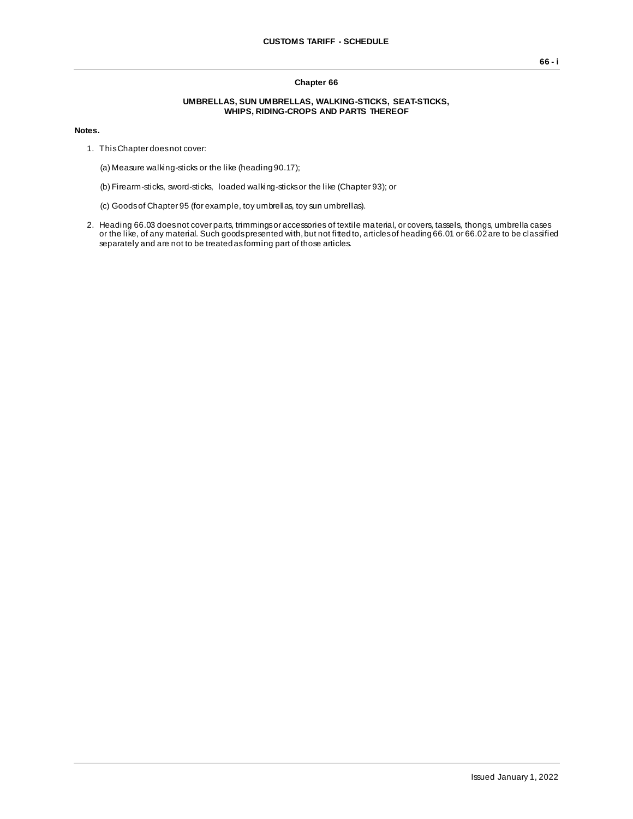## **Chapter 66**

## **UMBRELLAS, SUN UMBRELLAS, WALKING-STICKS, SEAT-STICKS, WHIPS, RIDING-CROPS AND PARTS THEREOF**

## **Notes.**

- 1. This Chapter does not cover:
	- (a) Measure walking-sticks or the like (heading 90.17);
	- (b) Firearm-sticks, sword-sticks, loaded walking-sticks or the like (Chapter 93); or
	- (c) Goods of Chapter 95 (for example, toy umbrellas, toy sun umbrellas).
- 2. Heading 66.03 does not cover parts, trimmings or accessories of textile material, or covers, tassels, thongs, umbrella cases or the like, of any material. Such goods presented with, but not fitted to, articles of heading 66.01 or 66.02 are to be classified separately and are not to be treated as forming part of those articles.